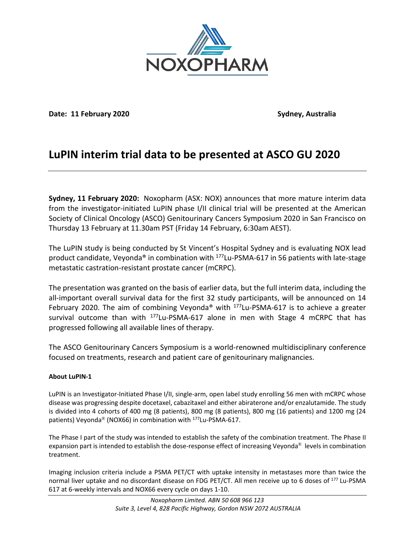

**Date: 11 February 2020 Sydney, Australia**

# **LuPIN interim trial data to be presented at ASCO GU 2020**

**Sydney, 11 February 2020:** Noxopharm (ASX: NOX) announces that more mature interim data from the investigator-initiated LuPIN phase I/II clinical trial will be presented at the American Society of Clinical Oncology (ASCO) Genitourinary Cancers Symposium 2020 in San Francisco on Thursday 13 February at 11.30am PST (Friday 14 February, 6:30am AEST).

The LuPIN study is being conducted by St Vincent's Hospital Sydney and is evaluating NOX lead product candidate, Veyonda<sup>®</sup> in combination with  $177$ Lu-PSMA-617 in 56 patients with late-stage metastatic castration-resistant prostate cancer (mCRPC).

The presentation was granted on the basis of earlier data, but the full interim data, including the all-important overall survival data for the first 32 study participants, will be announced on 14 February 2020. The aim of combining Veyonda® with <sup>177</sup>Lu-PSMA-617 is to achieve a greater survival outcome than with  $177$ Lu-PSMA-617 alone in men with Stage 4 mCRPC that has progressed following all available lines of therapy.

The ASCO Genitourinary Cancers Symposium is a world-renowned multidisciplinary conference focused on treatments, research and patient care of genitourinary malignancies.

# **About LuPIN-1**

LuPIN is an Investigator-Initiated Phase I/II, single-arm, open label study enrolling 56 men with mCRPC whose disease was progressing despite docetaxel, cabazitaxel and either abiraterone and/or enzalutamide. The study is divided into 4 cohorts of 400 mg (8 patients), 800 mg (8 patients), 800 mg (16 patients) and 1200 mg (24 patients) Veyonda<sup>®</sup> (NOX66) in combination with <sup>177</sup>Lu-PSMA-617.

The Phase I part of the study was intended to establish the safety of the combination treatment. The Phase II expansion part is intended to establish the dose-response effect of increasing Veyonda® levels in combination treatment.

Imaging inclusion criteria include a PSMA PET/CT with uptake intensity in metastases more than twice the normal liver uptake and no discordant disease on FDG PET/CT. All men receive up to 6 doses of <sup>177</sup> Lu-PSMA 617 at 6-weekly intervals and NOX66 every cycle on days 1-10.